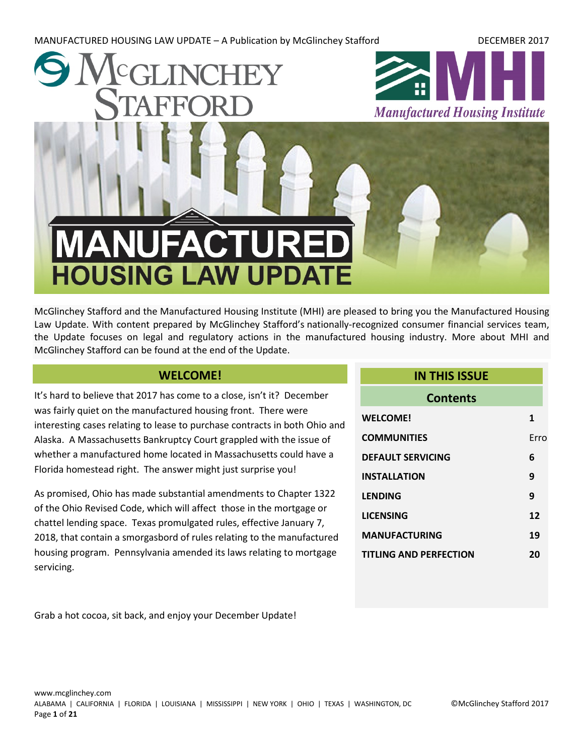MANUFACTURED HOUSING LAW UPDATE – A Publication by McGlinchey Stafford DECEMBER 2017



McGlinchey Stafford and the Manufactured Housing Institute (MHI) are pleased to bring you the Manufactured Housing Law Update. With content prepared by McGlinchey Stafford's nationally-recognized consumer financial services team, the Update focuses on legal and regulatory actions in the manufactured housing industry. More about MHI and McGlinchey Stafford can be found at the end of the Update.

### **WELCOME!**

It's hard to believe that 2017 has come to a close, isn't it? December was fairly quiet on the manufactured housing front. There were interesting cases relating to lease to purchase contracts in both Ohio and Alaska. A Massachusetts Bankruptcy Court grappled with the issue of whether a manufactured home located in Massachusetts could have a Florida homestead right. The answer might just surprise you!

As promised, Ohio has made substantial amendments to Chapter 1322 of the Ohio Revised Code, which will affect those in the mortgage or chattel lending space. Texas promulgated rules, effective January 7, 2018, that contain a smorgasbord of rules relating to the manufactured housing program. Pennsylvania amended its laws relating to mortgage servicing.

Grab a hot cocoa, sit back, and enjoy your December Update!

# **IN THIS ISSUE**

| <b>Contents</b>               |      |  |
|-------------------------------|------|--|
| <b>WELCOME!</b>               | 1    |  |
| <b>COMMUNITIES</b>            | Frro |  |
| <b>DEFAULT SERVICING</b>      | 6    |  |
| <b>INSTALLATION</b>           | q    |  |
| <b>LENDING</b>                | 9    |  |
| <b>LICENSING</b>              | 12   |  |
| <b>MANUFACTURING</b>          | 19   |  |
| <b>TITLING AND PERFECTION</b> | 20   |  |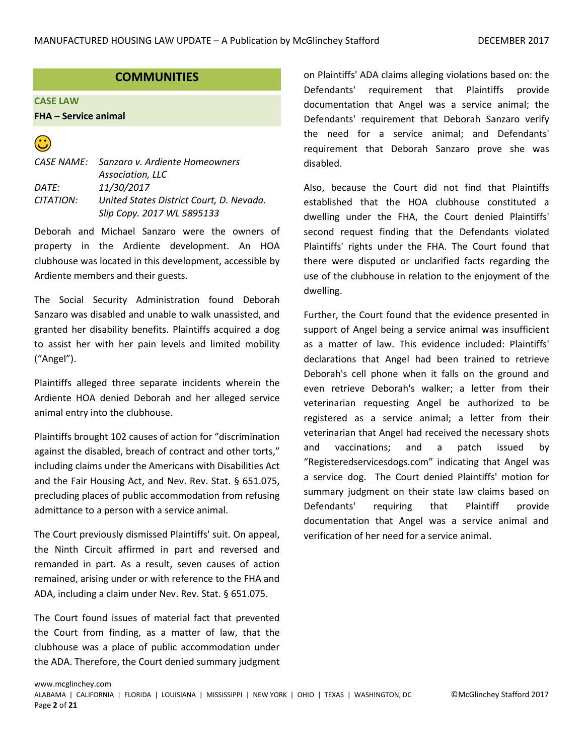# **COMMUNITIES**

**CASE LAW**

**FHA – Service animal** 



|                  | CASE NAME: Sanzaro v. Ardiente Homeowners |
|------------------|-------------------------------------------|
|                  | Association, LLC                          |
| DATF:            | 11/30/2017                                |
| <i>CITATION:</i> | United States District Court, D. Nevada.  |
|                  | Slip Copy. 2017 WL 5895133                |

Deborah and Michael Sanzaro were the owners of property in the Ardiente development. An HOA clubhouse was located in this development, accessible by Ardiente members and their guests.

The Social Security Administration found Deborah Sanzaro was disabled and unable to walk unassisted, and granted her disability benefits. Plaintiffs acquired a dog to assist her with her pain levels and limited mobility ("Angel").

Plaintiffs alleged three separate incidents wherein the Ardiente HOA denied Deborah and her alleged service animal entry into the clubhouse.

Plaintiffs brought 102 causes of action for "discrimination against the disabled, breach of contract and other torts," including claims under the Americans with Disabilities Act and the Fair Housing Act, and Nev. Rev. Stat. § 651.075, precluding places of public accommodation from refusing admittance to a person with a service animal.

The Court previously dismissed Plaintiffs' suit. On appeal, the Ninth Circuit affirmed in part and reversed and remanded in part. As a result, seven causes of action remained, arising under or with reference to the FHA and ADA, including a claim under Nev. Rev. Stat. § 651.075.

The Court found issues of material fact that prevented the Court from finding, as a matter of law, that the clubhouse was a place of public accommodation under the ADA. Therefore, the Court denied summary judgment on Plaintiffs' ADA claims alleging violations based on: the Defendants' requirement that Plaintiffs provide documentation that Angel was a service animal; the Defendants' requirement that Deborah Sanzaro verify the need for a service animal; and Defendants' requirement that Deborah Sanzaro prove she was disabled.

Also, because the Court did not find that Plaintiffs established that the HOA clubhouse constituted a dwelling under the FHA, the Court denied Plaintiffs' second request finding that the Defendants violated Plaintiffs' rights under the FHA. The Court found that there were disputed or unclarified facts regarding the use of the clubhouse in relation to the enjoyment of the dwelling.

Further, the Court found that the evidence presented in support of Angel being a service animal was insufficient as a matter of law. This evidence included: Plaintiffs' declarations that Angel had been trained to retrieve Deborah's cell phone when it falls on the ground and even retrieve Deborah's walker; a letter from their veterinarian requesting Angel be authorized to be registered as a service animal; a letter from their veterinarian that Angel had received the necessary shots and vaccinations; and a patch issued by "Registeredservicesdogs.com" indicating that Angel was a service dog. The Court denied Plaintiffs' motion for summary judgment on their state law claims based on Defendants' requiring that Plaintiff provide documentation that Angel was a service animal and verification of her need for a service animal.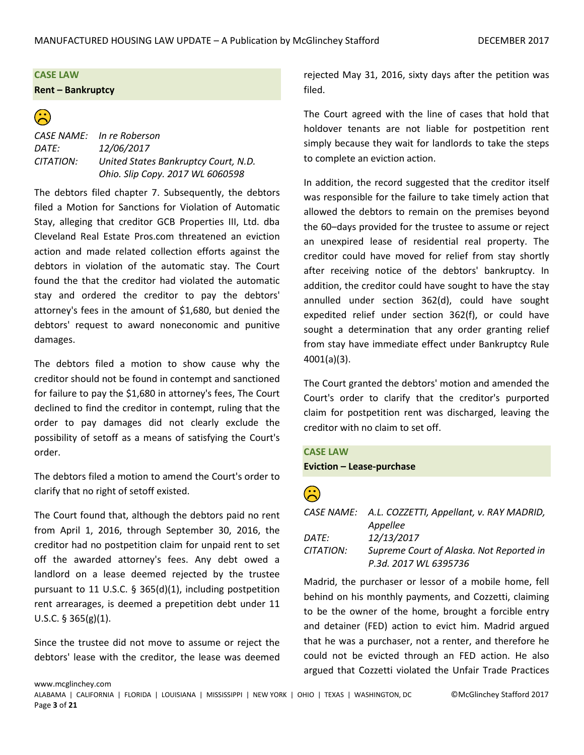### **CASE LAW**

### **Rent – Bankruptcy**

 $\bigodot$ 

*CASE NAME: In re Roberson DATE: 12/06/2017 CITATION: United States Bankruptcy Court, N.D. Ohio. Slip Copy. 2017 WL 6060598*

The debtors filed chapter 7. Subsequently, the debtors filed a Motion for Sanctions for Violation of Automatic Stay, alleging that creditor GCB Properties III, Ltd. dba Cleveland Real Estate Pros.com threatened an eviction action and made related collection efforts against the debtors in violation of the automatic stay. The Court found the that the creditor had violated the automatic stay and ordered the creditor to pay the debtors' attorney's fees in the amount of \$1,680, but denied the debtors' request to award noneconomic and punitive damages.

The debtors filed a motion to show cause why the creditor should not be found in contempt and sanctioned for failure to pay the \$1,680 in attorney's fees, The Court declined to find the creditor in contempt, ruling that the order to pay damages did not clearly exclude the possibility of setoff as a means of satisfying the Court's order.

The debtors filed a motion to amend the Court's order to clarify that no right of setoff existed.

The Court found that, although the debtors paid no rent from April 1, 2016, through September 30, 2016, the creditor had no postpetition claim for unpaid rent to set off the awarded attorney's fees. Any debt owed a landlord on a lease deemed rejected by the trustee pursuant to 11 U.S.C. § 365(d)(1), including postpetition rent arrearages, is deemed a prepetition debt under 11 U.S.C. § 365(g)(1).

Since the trustee did not move to assume or reject the debtors' lease with the creditor, the lease was deemed rejected May 31, 2016, sixty days after the petition was filed.

The Court agreed with the line of cases that hold that holdover tenants are not liable for postpetition rent simply because they wait for landlords to take the steps to complete an eviction action.

In addition, the record suggested that the creditor itself was responsible for the failure to take timely action that allowed the debtors to remain on the premises beyond the 60–days provided for the trustee to assume or reject an unexpired lease of residential real property. The creditor could have moved for relief from stay shortly after receiving notice of the debtors' bankruptcy. In addition, the creditor could have sought to have the stay annulled under section 362(d), could have sought expedited relief under section 362(f), or could have sought a determination that any order granting relief from stay have immediate effect under Bankruptcy Rule 4001(a)(3).

The Court granted the debtors' motion and amended the Court's order to clarify that the creditor's purported claim for postpetition rent was discharged, leaving the creditor with no claim to set off.

### **CASE LAW**

```
Eviction – Lease-purchase
```

|           | CASE NAME: A.L. COZZETTI, Appellant, v. RAY MADRID, |
|-----------|-----------------------------------------------------|
|           | Appellee                                            |
| DATF:     | 12/13/2017                                          |
| CITATION: | Supreme Court of Alaska. Not Reported in            |
|           | P.3d. 2017 WL 6395736                               |

Madrid, the purchaser or lessor of a mobile home, fell behind on his monthly payments, and Cozzetti, claiming to be the owner of the home, brought a forcible entry and detainer (FED) action to evict him. Madrid argued that he was a purchaser, not a renter, and therefore he could not be evicted through an FED action. He also argued that Cozzetti violated the Unfair Trade Practices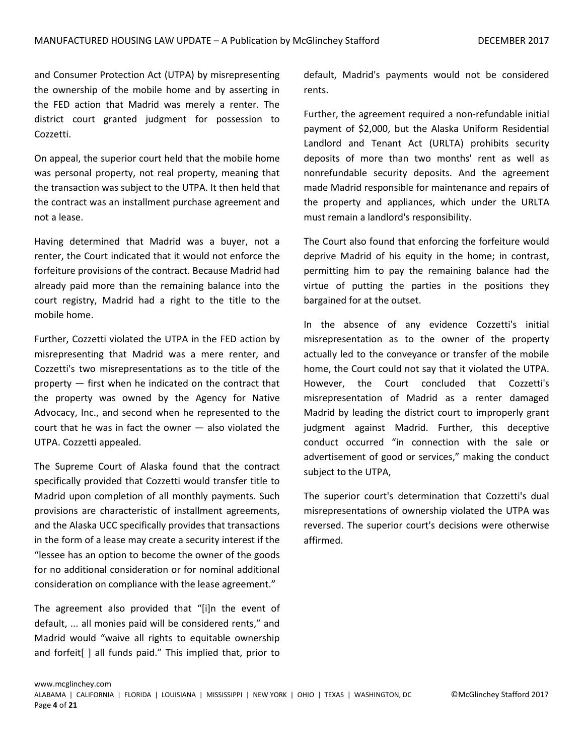and Consumer Protection Act (UTPA) by misrepresenting the ownership of the mobile home and by asserting in the FED action that Madrid was merely a renter. The district court granted judgment for possession to Cozzetti.

On appeal, the superior court held that the mobile home was personal property, not real property, meaning that the transaction was subject to the UTPA. It then held that the contract was an installment purchase agreement and not a lease.

Having determined that Madrid was a buyer, not a renter, the Court indicated that it would not enforce the forfeiture provisions of the contract. Because Madrid had already paid more than the remaining balance into the court registry, Madrid had a right to the title to the mobile home.

Further, Cozzetti violated the UTPA in the FED action by misrepresenting that Madrid was a mere renter, and Cozzetti's two misrepresentations as to the title of the property — first when he indicated on the contract that the property was owned by the Agency for Native Advocacy, Inc., and second when he represented to the court that he was in fact the owner — also violated the UTPA. Cozzetti appealed.

The Supreme Court of Alaska found that the contract specifically provided that Cozzetti would transfer title to Madrid upon completion of all monthly payments. Such provisions are characteristic of installment agreements, and the Alaska UCC specifically provides that transactions in the form of a lease may create a security interest if the "lessee has an option to become the owner of the goods for no additional consideration or for nominal additional consideration on compliance with the lease agreement."

The agreement also provided that "[i]n the event of default, ... all monies paid will be considered rents," and Madrid would "waive all rights to equitable ownership and forfeit[ ] all funds paid." This implied that, prior to

default, Madrid's payments would not be considered rents.

Further, the agreement required a non-refundable initial payment of \$2,000, but the Alaska Uniform Residential Landlord and Tenant Act (URLTA) prohibits security deposits of more than two months' rent as well as nonrefundable security deposits. And the agreement made Madrid responsible for maintenance and repairs of the property and appliances, which under the URLTA must remain a landlord's responsibility.

The Court also found that enforcing the forfeiture would deprive Madrid of his equity in the home; in contrast, permitting him to pay the remaining balance had the virtue of putting the parties in the positions they bargained for at the outset.

In the absence of any evidence Cozzetti's initial misrepresentation as to the owner of the property actually led to the conveyance or transfer of the mobile home, the Court could not say that it violated the UTPA. However, the Court concluded that Cozzetti's misrepresentation of Madrid as a renter damaged Madrid by leading the district court to improperly grant judgment against Madrid. Further, this deceptive conduct occurred "in connection with the sale or advertisement of good or services," making the conduct subject to the UTPA,

The superior court's determination that Cozzetti's dual misrepresentations of ownership violated the UTPA was reversed. The superior court's decisions were otherwise affirmed.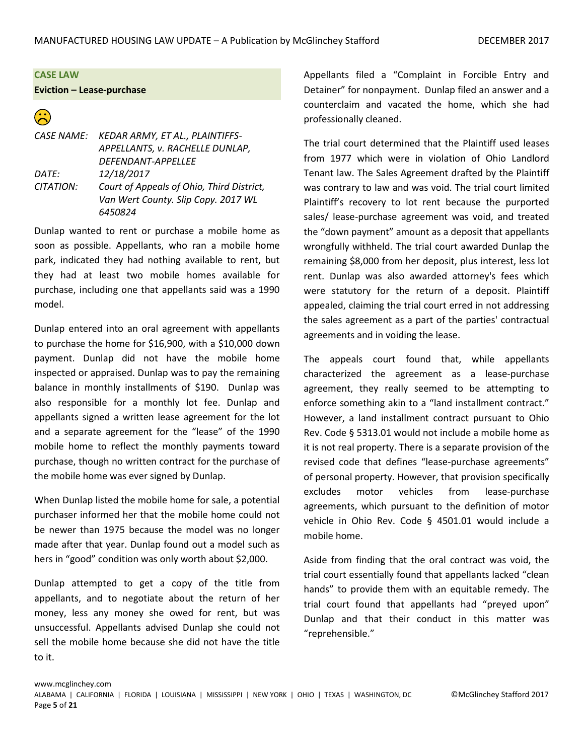### **CASE LAW**

**Eviction – Lease-purchase** 

# $\bigodot$

*CASE NAME: KEDAR ARMY, ET AL., PLAINTIFFS-APPELLANTS, v. RACHELLE DUNLAP, DEFENDANT-APPELLEE DATE: 12/18/2017 CITATION: Court of Appeals of Ohio, Third District, Van Wert County. Slip Copy. 2017 WL 6450824*

Dunlap wanted to rent or purchase a mobile home as soon as possible. Appellants, who ran a mobile home park, indicated they had nothing available to rent, but they had at least two mobile homes available for purchase, including one that appellants said was a 1990 model.

Dunlap entered into an oral agreement with appellants to purchase the home for \$16,900, with a \$10,000 down payment. Dunlap did not have the mobile home inspected or appraised. Dunlap was to pay the remaining balance in monthly installments of \$190. Dunlap was also responsible for a monthly lot fee. Dunlap and appellants signed a written lease agreement for the lot and a separate agreement for the "lease" of the 1990 mobile home to reflect the monthly payments toward purchase, though no written contract for the purchase of the mobile home was ever signed by Dunlap.

When Dunlap listed the mobile home for sale, a potential purchaser informed her that the mobile home could not be newer than 1975 because the model was no longer made after that year. Dunlap found out a model such as hers in "good" condition was only worth about \$2,000.

Dunlap attempted to get a copy of the title from appellants, and to negotiate about the return of her money, less any money she owed for rent, but was unsuccessful. Appellants advised Dunlap she could not sell the mobile home because she did not have the title to it.

Appellants filed a "Complaint in Forcible Entry and Detainer" for nonpayment. Dunlap filed an answer and a counterclaim and vacated the home, which she had professionally cleaned.

The trial court determined that the Plaintiff used leases from 1977 which were in violation of Ohio Landlord Tenant law. The Sales Agreement drafted by the Plaintiff was contrary to law and was void. The trial court limited Plaintiff's recovery to lot rent because the purported sales/ lease-purchase agreement was void, and treated the "down payment" amount as a deposit that appellants wrongfully withheld. The trial court awarded Dunlap the remaining \$8,000 from her deposit, plus interest, less lot rent. Dunlap was also awarded attorney's fees which were statutory for the return of a deposit. Plaintiff appealed, claiming the trial court erred in not addressing the sales agreement as a part of the parties' contractual agreements and in voiding the lease.

The appeals court found that, while appellants characterized the agreement as a lease-purchase agreement, they really seemed to be attempting to enforce something akin to a "land installment contract." However, a land installment contract pursuant to Ohio Rev. Code § 5313.01 would not include a mobile home as it is not real property. There is a separate provision of the revised code that defines "lease-purchase agreements" of personal property. However, that provision specifically excludes motor vehicles from lease-purchase agreements, which pursuant to the definition of motor vehicle in Ohio Rev. Code § 4501.01 would include a mobile home.

Aside from finding that the oral contract was void, the trial court essentially found that appellants lacked "clean hands" to provide them with an equitable remedy. The trial court found that appellants had "preyed upon" Dunlap and that their conduct in this matter was "reprehensible."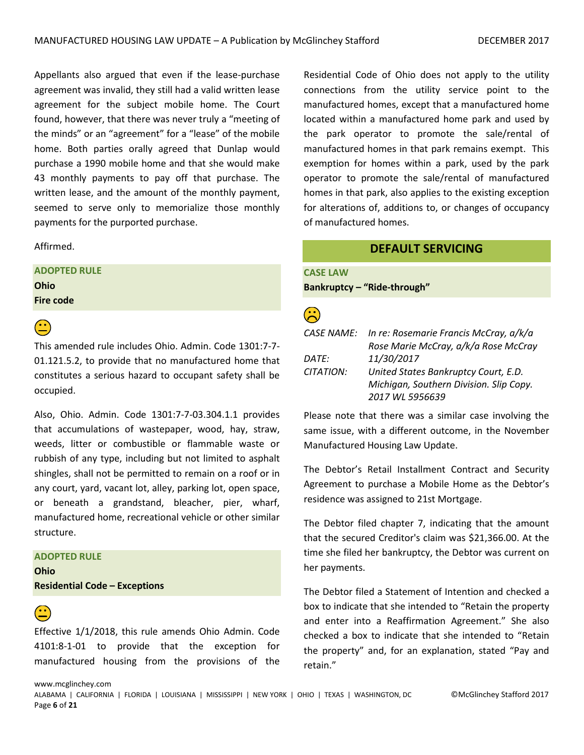Appellants also argued that even if the lease-purchase agreement was invalid, they still had a valid written lease agreement for the subject mobile home. The Court found, however, that there was never truly a "meeting of the minds" or an "agreement" for a "lease" of the mobile home. Both parties orally agreed that Dunlap would purchase a 1990 mobile home and that she would make 43 monthly payments to pay off that purchase. The written lease, and the amount of the monthly payment, seemed to serve only to memorialize those monthly payments for the purported purchase.

Affirmed.

# **ADOPTED RULE Ohio**

**Fire code** 



This amended rule includes Ohio. Admin. Code 1301:7-7- 01.121.5.2, to provide that no manufactured home that constitutes a serious hazard to occupant safety shall be occupied.

Also, Ohio. Admin. Code 1301:7-7-03.304.1.1 provides that accumulations of wastepaper, wood, hay, straw, weeds, litter or combustible or flammable waste or rubbish of any type, including but not limited to asphalt shingles, shall not be permitted to remain on a roof or in any court, yard, vacant lot, alley, parking lot, open space, or beneath a grandstand, bleacher, pier, wharf, manufactured home, recreational vehicle or other similar structure.

### **ADOPTED RULE**

**Ohio Residential Code – Exceptions** 

# $\bigodot$

Effective 1/1/2018, this rule amends Ohio Admin. Code 4101:8-1-01 to provide that the exception for manufactured housing from the provisions of the Residential Code of Ohio does not apply to the utility connections from the utility service point to the manufactured homes, except that a manufactured home located within a manufactured home park and used by the park operator to promote the sale/rental of manufactured homes in that park remains exempt. This exemption for homes within a park, used by the park operator to promote the sale/rental of manufactured homes in that park, also applies to the existing exception for alterations of, additions to, or changes of occupancy of manufactured homes.

## **DEFAULT SERVICING**

### **CASE LAW**

**Bankruptcy – "Ride-through"** 

|           | CASE NAME: In re: Rosemarie Francis McCray, a/k/a |
|-----------|---------------------------------------------------|
|           | Rose Marie McCray, a/k/a Rose McCray              |
| DATE:     | 11/30/2017                                        |
| CITATION: | United States Bankruptcy Court, E.D.              |
|           | Michigan, Southern Division. Slip Copy.           |
|           | 2017 WL 5956639                                   |

Please note that there was a similar case involving the same issue, with a different outcome, in the November Manufactured Housing Law Update.

The Debtor's Retail Installment Contract and Security Agreement to purchase a Mobile Home as the Debtor's residence was assigned to 21st Mortgage.

The Debtor filed chapter 7, indicating that the amount that the secured Creditor's claim was \$21,366.00. At the time she filed her bankruptcy, the Debtor was current on her payments.

The Debtor filed a Statement of Intention and checked a box to indicate that she intended to "Retain the property and enter into a Reaffirmation Agreement." She also checked a box to indicate that she intended to "Retain the property" and, for an explanation, stated "Pay and retain."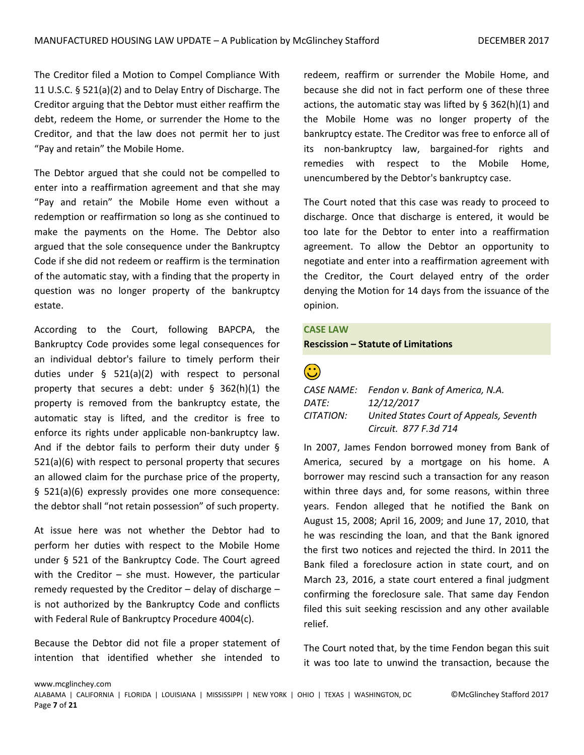The Creditor filed a Motion to Compel Compliance With 11 U.S.C. § 521(a)(2) and to Delay Entry of Discharge. The Creditor arguing that the Debtor must either reaffirm the debt, redeem the Home, or surrender the Home to the Creditor, and that the law does not permit her to just "Pay and retain" the Mobile Home.

The Debtor argued that she could not be compelled to enter into a reaffirmation agreement and that she may "Pay and retain" the Mobile Home even without a redemption or reaffirmation so long as she continued to make the payments on the Home. The Debtor also argued that the sole consequence under the Bankruptcy Code if she did not redeem or reaffirm is the termination of the automatic stay, with a finding that the property in question was no longer property of the bankruptcy estate.

According to the Court, following BAPCPA, the Bankruptcy Code provides some legal consequences for an individual debtor's failure to timely perform their duties under § 521(a)(2) with respect to personal property that secures a debt: under § 362(h)(1) the property is removed from the bankruptcy estate, the automatic stay is lifted, and the creditor is free to enforce its rights under applicable non-bankruptcy law. And if the debtor fails to perform their duty under § 521(a)(6) with respect to personal property that secures an allowed claim for the purchase price of the property, § 521(a)(6) expressly provides one more consequence: the debtor shall "not retain possession" of such property.

At issue here was not whether the Debtor had to perform her duties with respect to the Mobile Home under § 521 of the Bankruptcy Code. The Court agreed with the Creditor – she must. However, the particular remedy requested by the Creditor – delay of discharge – is not authorized by the Bankruptcy Code and conflicts with Federal Rule of Bankruptcy Procedure 4004(c).

Because the Debtor did not file a proper statement of intention that identified whether she intended to

redeem, reaffirm or surrender the Mobile Home, and because she did not in fact perform one of these three actions, the automatic stay was lifted by § 362(h)(1) and the Mobile Home was no longer property of the bankruptcy estate. The Creditor was free to enforce all of its non-bankruptcy law, bargained-for rights and remedies with respect to the Mobile Home, unencumbered by the Debtor's bankruptcy case.

The Court noted that this case was ready to proceed to discharge. Once that discharge is entered, it would be too late for the Debtor to enter into a reaffirmation agreement. To allow the Debtor an opportunity to negotiate and enter into a reaffirmation agreement with the Creditor, the Court delayed entry of the order denying the Motion for 14 days from the issuance of the opinion.

### **CASE LAW Rescission – Statute of Limitations**

# $\mathbf{\ddot{c}}$

|                  | CASE NAME: Fendon v. Bank of America, N.A. |
|------------------|--------------------------------------------|
| <i>DATE:</i>     | 12/12/2017                                 |
| <i>CITATION:</i> | United States Court of Appeals, Seventh    |
|                  | Circuit. 877 F.3d 714                      |

In 2007, James Fendon borrowed money from Bank of America, secured by a mortgage on his home. A borrower may rescind such a transaction for any reason within three days and, for some reasons, within three years. Fendon alleged that he notified the Bank on August 15, 2008; April 16, 2009; and June 17, 2010, that he was rescinding the loan, and that the Bank ignored the first two notices and rejected the third. In 2011 the Bank filed a foreclosure action in state court, and on March 23, 2016, a state court entered a final judgment confirming the foreclosure sale. That same day Fendon filed this suit seeking rescission and any other available relief.

The Court noted that, by the time Fendon began this suit it was too late to unwind the transaction, because the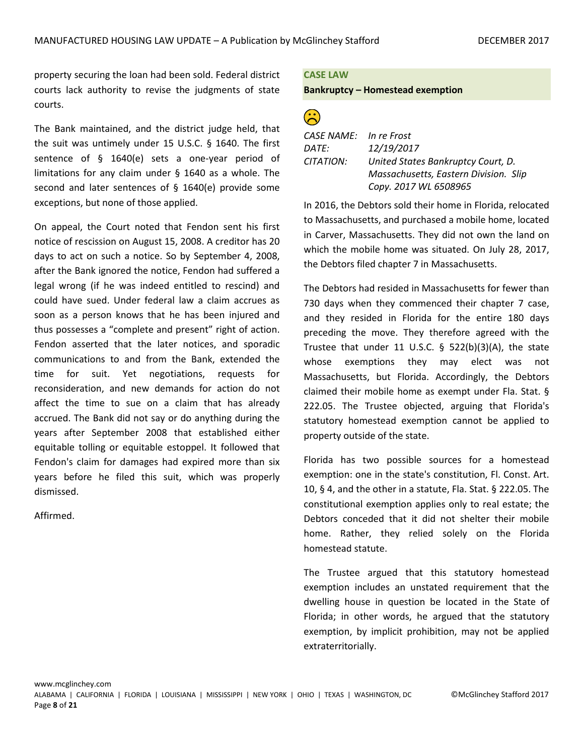property securing the loan had been sold. Federal district courts lack authority to revise the judgments of state courts.

The Bank maintained, and the district judge held, that the suit was untimely under 15 U.S.C. § 1640. The first sentence of § 1640(e) sets a one-year period of limitations for any claim under § 1640 as a whole. The second and later sentences of § 1640(e) provide some exceptions, but none of those applied.

On appeal, the Court noted that Fendon sent his first notice of rescission on August 15, 2008. A creditor has 20 days to act on such a notice. So by September 4, 2008, after the Bank ignored the notice, Fendon had suffered a legal wrong (if he was indeed entitled to rescind) and could have sued. Under federal law a claim accrues as soon as a person knows that he has been injured and thus possesses a "complete and present" right of action. Fendon asserted that the later notices, and sporadic communications to and from the Bank, extended the time for suit. Yet negotiations, requests for reconsideration, and new demands for action do not affect the time to sue on a claim that has already accrued. The Bank did not say or do anything during the years after September 2008 that established either equitable tolling or equitable estoppel. It followed that Fendon's claim for damages had expired more than six years before he filed this suit, which was properly dismissed.

Affirmed.

### **CASE LAW Bankruptcy – Homestead exemption**

| CASE NAME: In re Frost |                                       |
|------------------------|---------------------------------------|
| DATE:                  | 12/19/2017                            |
| CITATION:              | United States Bankruptcy Court, D.    |
|                        | Massachusetts, Eastern Division. Slip |
|                        | Copy. 2017 WL 6508965                 |

In 2016, the Debtors sold their home in Florida, relocated to Massachusetts, and purchased a mobile home, located in Carver, Massachusetts. They did not own the land on which the mobile home was situated. On July 28, 2017, the Debtors filed chapter 7 in Massachusetts.

The Debtors had resided in Massachusetts for fewer than 730 days when they commenced their chapter 7 case, and they resided in Florida for the entire 180 days preceding the move. They therefore agreed with the Trustee that under 11 U.S.C.  $\S$  522(b)(3)(A), the state whose exemptions they may elect was not Massachusetts, but Florida. Accordingly, the Debtors claimed their mobile home as exempt under Fla. Stat. § 222.05. The Trustee objected, arguing that Florida's statutory homestead exemption cannot be applied to property outside of the state.

Florida has two possible sources for a homestead exemption: one in the state's constitution, Fl. Const. Art. 10, § 4, and the other in a statute, Fla. Stat. § 222.05. The constitutional exemption applies only to real estate; the Debtors conceded that it did not shelter their mobile home. Rather, they relied solely on the Florida homestead statute.

The Trustee argued that this statutory homestead exemption includes an unstated requirement that the dwelling house in question be located in the State of Florida; in other words, he argued that the statutory exemption, by implicit prohibition, may not be applied extraterritorially.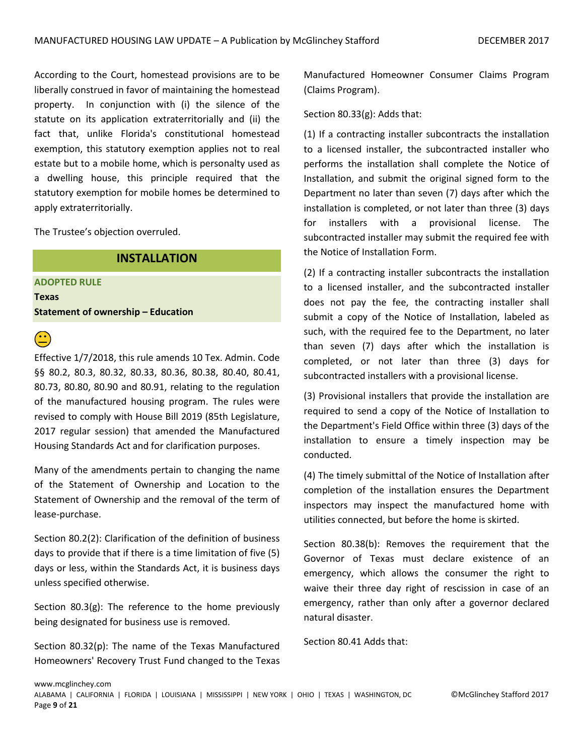According to the Court, homestead provisions are to be liberally construed in favor of maintaining the homestead property. In conjunction with (i) the silence of the statute on its application extraterritorially and (ii) the fact that, unlike Florida's constitutional homestead exemption, this statutory exemption applies not to real estate but to a mobile home, which is personalty used as a dwelling house, this principle required that the statutory exemption for mobile homes be determined to apply extraterritorially.

The Trustee's objection overruled.

### **INSTALLATION**

**ADOPTED RULE Texas Statement of ownership – Education** 

 $\widehat{\mathbf{C}}$ 

Effective 1/7/2018, this rule amends 10 Tex. Admin. Code §§ 80.2, 80.3, 80.32, 80.33, 80.36, 80.38, 80.40, 80.41, 80.73, 80.80, 80.90 and 80.91, relating to the regulation of the manufactured housing program. The rules were revised to comply with House Bill 2019 (85th Legislature, 2017 regular session) that amended the Manufactured Housing Standards Act and for clarification purposes.

Many of the amendments pertain to changing the name of the Statement of Ownership and Location to the Statement of Ownership and the removal of the term of lease-purchase.

Section 80.2(2): Clarification of the definition of business days to provide that if there is a time limitation of five (5) days or less, within the Standards Act, it is business days unless specified otherwise.

Section 80.3(g): The reference to the home previously being designated for business use is removed.

Section 80.32(p): The name of the Texas Manufactured Homeowners' Recovery Trust Fund changed to the Texas

Manufactured Homeowner Consumer Claims Program (Claims Program).

Section 80.33(g): Adds that:

(1) If a contracting installer subcontracts the installation to a licensed installer, the subcontracted installer who performs the installation shall complete the Notice of Installation, and submit the original signed form to the Department no later than seven (7) days after which the installation is completed, or not later than three (3) days for installers with a provisional license. The subcontracted installer may submit the required fee with the Notice of Installation Form.

(2) If a contracting installer subcontracts the installation to a licensed installer, and the subcontracted installer does not pay the fee, the contracting installer shall submit a copy of the Notice of Installation, labeled as such, with the required fee to the Department, no later than seven (7) days after which the installation is completed, or not later than three (3) days for subcontracted installers with a provisional license.

(3) Provisional installers that provide the installation are required to send a copy of the Notice of Installation to the Department's Field Office within three (3) days of the installation to ensure a timely inspection may be conducted.

(4) The timely submittal of the Notice of Installation after completion of the installation ensures the Department inspectors may inspect the manufactured home with utilities connected, but before the home is skirted.

Section 80.38(b): Removes the requirement that the Governor of Texas must declare existence of an emergency, which allows the consumer the right to waive their three day right of rescission in case of an emergency, rather than only after a governor declared natural disaster.

Section 80.41 Adds that: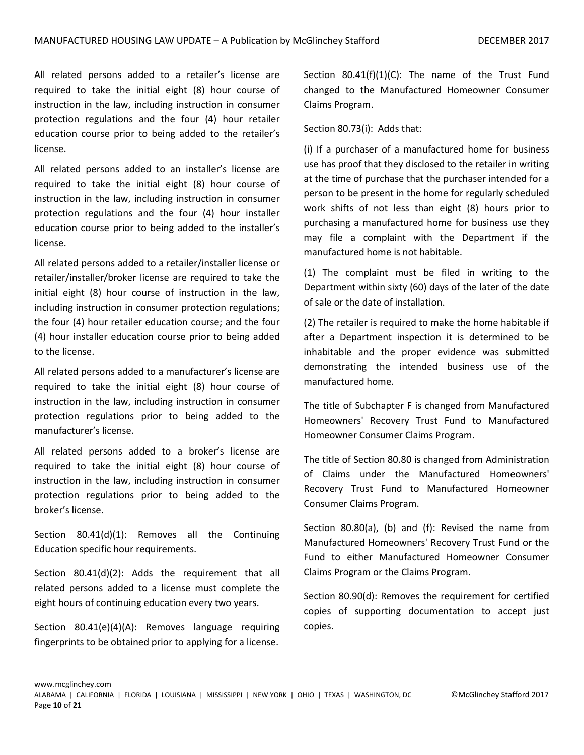All related persons added to a retailer's license are required to take the initial eight (8) hour course of instruction in the law, including instruction in consumer protection regulations and the four (4) hour retailer education course prior to being added to the retailer's license.

All related persons added to an installer's license are required to take the initial eight (8) hour course of instruction in the law, including instruction in consumer protection regulations and the four (4) hour installer education course prior to being added to the installer's license.

All related persons added to a retailer/installer license or retailer/installer/broker license are required to take the initial eight (8) hour course of instruction in the law, including instruction in consumer protection regulations; the four (4) hour retailer education course; and the four (4) hour installer education course prior to being added to the license.

All related persons added to a manufacturer's license are required to take the initial eight (8) hour course of instruction in the law, including instruction in consumer protection regulations prior to being added to the manufacturer's license.

All related persons added to a broker's license are required to take the initial eight (8) hour course of instruction in the law, including instruction in consumer protection regulations prior to being added to the broker's license.

Section 80.41(d)(1): Removes all the Continuing Education specific hour requirements.

Section 80.41(d)(2): Adds the requirement that all related persons added to a license must complete the eight hours of continuing education every two years.

Section 80.41(e)(4)(A): Removes language requiring fingerprints to be obtained prior to applying for a license.

Section 80.41(f)(1)(C): The name of the Trust Fund changed to the Manufactured Homeowner Consumer Claims Program.

Section 80.73(i): Adds that:

(i) If a purchaser of a manufactured home for business use has proof that they disclosed to the retailer in writing at the time of purchase that the purchaser intended for a person to be present in the home for regularly scheduled work shifts of not less than eight (8) hours prior to purchasing a manufactured home for business use they may file a complaint with the Department if the manufactured home is not habitable.

(1) The complaint must be filed in writing to the Department within sixty (60) days of the later of the date of sale or the date of installation.

(2) The retailer is required to make the home habitable if after a Department inspection it is determined to be inhabitable and the proper evidence was submitted demonstrating the intended business use of the manufactured home.

The title of Subchapter F is changed from Manufactured Homeowners' Recovery Trust Fund to Manufactured Homeowner Consumer Claims Program.

The title of Section 80.80 is changed from Administration of Claims under the Manufactured Homeowners' Recovery Trust Fund to Manufactured Homeowner Consumer Claims Program.

Section 80.80(a), (b) and (f): Revised the name from Manufactured Homeowners' Recovery Trust Fund or the Fund to either Manufactured Homeowner Consumer Claims Program or the Claims Program.

Section 80.90(d): Removes the requirement for certified copies of supporting documentation to accept just copies.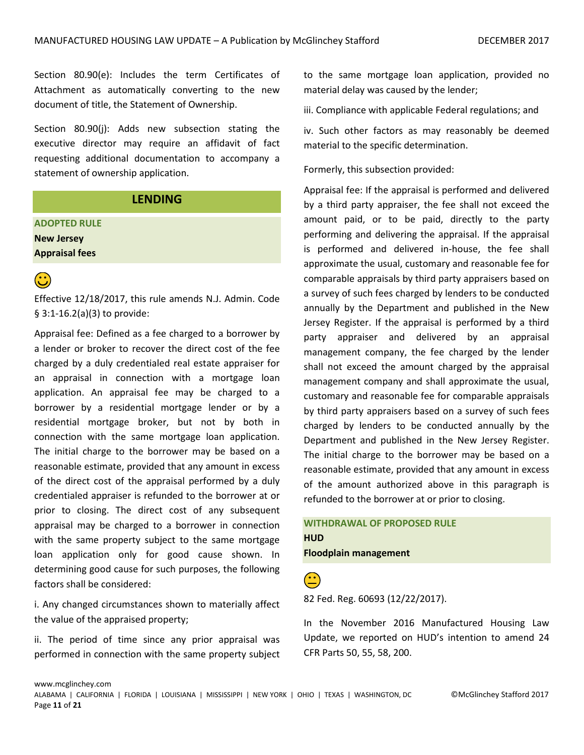Section 80.90(e): Includes the term Certificates of Attachment as automatically converting to the new document of title, the Statement of Ownership.

Section 80.90(j): Adds new subsection stating the executive director may require an affidavit of fact requesting additional documentation to accompany a statement of ownership application.

### **LENDING**

### **ADOPTED RULE New Jersey Appraisal fees**

# $\bigodot$

Effective 12/18/2017, this rule amends N.J. Admin. Code § 3:1-16.2(a)(3) to provide:

Appraisal fee: Defined as a fee charged to a borrower by a lender or broker to recover the direct cost of the fee charged by a duly credentialed real estate appraiser for an appraisal in connection with a mortgage loan application. An appraisal fee may be charged to a borrower by a residential mortgage lender or by a residential mortgage broker, but not by both in connection with the same mortgage loan application. The initial charge to the borrower may be based on a reasonable estimate, provided that any amount in excess of the direct cost of the appraisal performed by a duly credentialed appraiser is refunded to the borrower at or prior to closing. The direct cost of any subsequent appraisal may be charged to a borrower in connection with the same property subject to the same mortgage loan application only for good cause shown. In determining good cause for such purposes, the following factors shall be considered:

i. Any changed circumstances shown to materially affect the value of the appraised property;

ii. The period of time since any prior appraisal was performed in connection with the same property subject to the same mortgage loan application, provided no material delay was caused by the lender;

iii. Compliance with applicable Federal regulations; and

iv. Such other factors as may reasonably be deemed material to the specific determination.

Formerly, this subsection provided:

Appraisal fee: If the appraisal is performed and delivered by a third party appraiser, the fee shall not exceed the amount paid, or to be paid, directly to the party performing and delivering the appraisal. If the appraisal is performed and delivered in-house, the fee shall approximate the usual, customary and reasonable fee for comparable appraisals by third party appraisers based on a survey of such fees charged by lenders to be conducted annually by the Department and published in the New Jersey Register. If the appraisal is performed by a third party appraiser and delivered by an appraisal management company, the fee charged by the lender shall not exceed the amount charged by the appraisal management company and shall approximate the usual, customary and reasonable fee for comparable appraisals by third party appraisers based on a survey of such fees charged by lenders to be conducted annually by the Department and published in the New Jersey Register. The initial charge to the borrower may be based on a reasonable estimate, provided that any amount in excess of the amount authorized above in this paragraph is refunded to the borrower at or prior to closing.

### **WITHDRAWAL OF PROPOSED RULE HUD Floodplain management**



82 Fed. Reg. 60693 (12/22/2017).

In the November 2016 Manufactured Housing Law Update, we reported on HUD's intention to amend 24 CFR Parts 50, 55, 58, 200.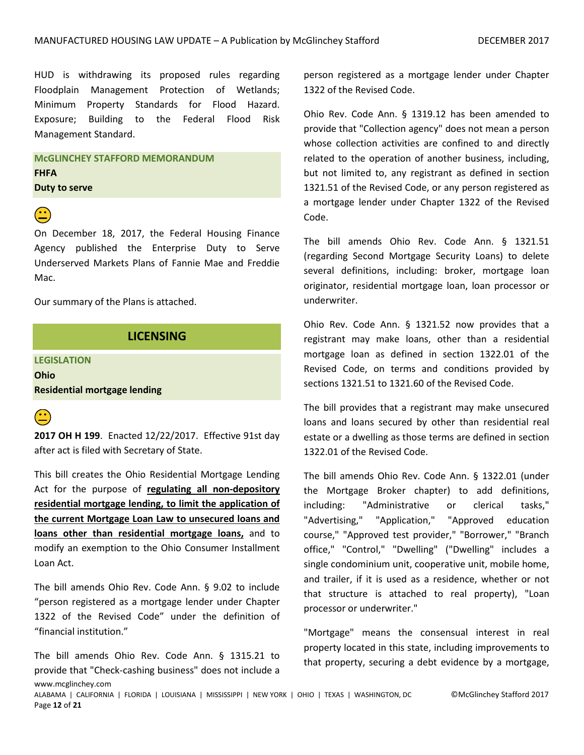HUD is withdrawing its proposed rules regarding Floodplain Management Protection of Wetlands; Minimum Property Standards for Flood Hazard. Exposure; Building to the Federal Flood Risk Management Standard.

**McGLINCHEY STAFFORD MEMORANDUM FHFA Duty to serve**



On December 18, 2017, the Federal Housing Finance Agency published the Enterprise Duty to Serve Underserved Markets Plans of Fannie Mae and Freddie Mac.

Our summary of the Plans is attached.

## **LICENSING**

### **LEGISLATION**

**Ohio Residential mortgage lending**



 **2017 OH H 199**. Enacted 12/22/2017. Effective 91st day after act is filed with Secretary of State.

This bill creates the Ohio Residential Mortgage Lending Act for the purpose of **regulating all non-depository residential mortgage lending, to limit the application of the current Mortgage Loan Law to unsecured loans and loans other than residential mortgage loans,** and to modify an exemption to the Ohio Consumer Installment Loan Act.

The bill amends Ohio Rev. Code Ann. § 9.02 to include "person registered as a mortgage lender under Chapter 1322 of the Revised Code" under the definition of "financial institution."

www.mcglinchey.com The bill amends Ohio Rev. Code Ann. § 1315.21 to provide that "Check-cashing business" does not include a person registered as a mortgage lender under Chapter 1322 of the Revised Code.

Ohio Rev. Code Ann. § 1319.12 has been amended to provide that "Collection agency" does not mean a person whose collection activities are confined to and directly related to the operation of another business, including, but not limited to, any registrant as defined in section 1321.51 of the Revised Code, or any person registered as a mortgage lender under Chapter 1322 of the Revised Code.

The bill amends Ohio Rev. Code Ann. § 1321.51 (regarding Second Mortgage Security Loans) to delete several definitions, including: broker, mortgage loan originator, residential mortgage loan, loan processor or underwriter.

Ohio Rev. Code Ann. § 1321.52 now provides that a registrant may make loans, other than a residential mortgage loan as defined in section 1322.01 of the Revised Code, on terms and conditions provided by sections 1321.51 to 1321.60 of the Revised Code.

The bill provides that a registrant may make unsecured loans and loans secured by other than residential real estate or a dwelling as those terms are defined in section 1322.01 of the Revised Code.

The bill amends Ohio Rev. Code Ann. § 1322.01 (under the Mortgage Broker chapter) to add definitions, including: "Administrative or clerical tasks," "Advertising," "Application," "Approved education course," "Approved test provider," "Borrower," "Branch office," "Control," "Dwelling" ("Dwelling" includes a single condominium unit, cooperative unit, mobile home, and trailer, if it is used as a residence, whether or not that structure is attached to real property), "Loan processor or underwriter."

"Mortgage" means the consensual interest in real property located in this state, including improvements to that property, securing a debt evidence by a mortgage,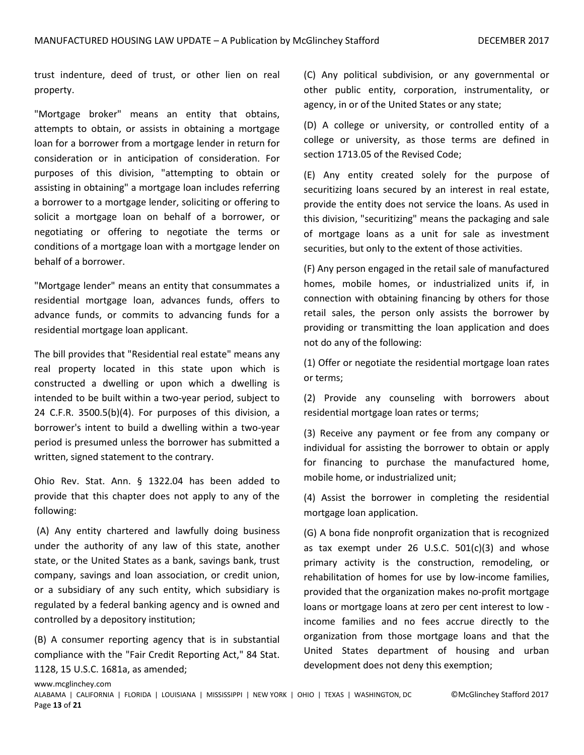trust indenture, deed of trust, or other lien on real property.

"Mortgage broker" means an entity that obtains, attempts to obtain, or assists in obtaining a mortgage loan for a borrower from a mortgage lender in return for consideration or in anticipation of consideration. For purposes of this division, "attempting to obtain or assisting in obtaining" a mortgage loan includes referring a borrower to a mortgage lender, soliciting or offering to solicit a mortgage loan on behalf of a borrower, or negotiating or offering to negotiate the terms or conditions of a mortgage loan with a mortgage lender on behalf of a borrower.

"Mortgage lender" means an entity that consummates a residential mortgage loan, advances funds, offers to advance funds, or commits to advancing funds for a residential mortgage loan applicant.

The bill provides that "Residential real estate" means any real property located in this state upon which is constructed a dwelling or upon which a dwelling is intended to be built within a two-year period, subject to 24 C.F.R. 3500.5(b)(4). For purposes of this division, a borrower's intent to build a dwelling within a two-year period is presumed unless the borrower has submitted a written, signed statement to the contrary.

Ohio Rev. Stat. Ann. § 1322.04 has been added to provide that this chapter does not apply to any of the following:

(A) Any entity chartered and lawfully doing business under the authority of any law of this state, another state, or the United States as a bank, savings bank, trust company, savings and loan association, or credit union, or a subsidiary of any such entity, which subsidiary is regulated by a federal banking agency and is owned and controlled by a depository institution;

(B) A consumer reporting agency that is in substantial compliance with the "Fair Credit Reporting Act," 84 Stat. 1128, 15 U.S.C. 1681a, as amended;

(C) Any political subdivision, or any governmental or other public entity, corporation, instrumentality, or agency, in or of the United States or any state;

(D) A college or university, or controlled entity of a college or university, as those terms are defined in section 1713.05 of the Revised Code;

(E) Any entity created solely for the purpose of securitizing loans secured by an interest in real estate, provide the entity does not service the loans. As used in this division, "securitizing" means the packaging and sale of mortgage loans as a unit for sale as investment securities, but only to the extent of those activities.

(F) Any person engaged in the retail sale of manufactured homes, mobile homes, or industrialized units if, in connection with obtaining financing by others for those retail sales, the person only assists the borrower by providing or transmitting the loan application and does not do any of the following:

(1) Offer or negotiate the residential mortgage loan rates or terms;

(2) Provide any counseling with borrowers about residential mortgage loan rates or terms;

(3) Receive any payment or fee from any company or individual for assisting the borrower to obtain or apply for financing to purchase the manufactured home, mobile home, or industrialized unit;

(4) Assist the borrower in completing the residential mortgage loan application.

(G) A bona fide nonprofit organization that is recognized as tax exempt under  $26$  U.S.C.  $501(c)(3)$  and whose primary activity is the construction, remodeling, or rehabilitation of homes for use by low-income families, provided that the organization makes no-profit mortgage loans or mortgage loans at zero per cent interest to low income families and no fees accrue directly to the organization from those mortgage loans and that the United States department of housing and urban development does not deny this exemption;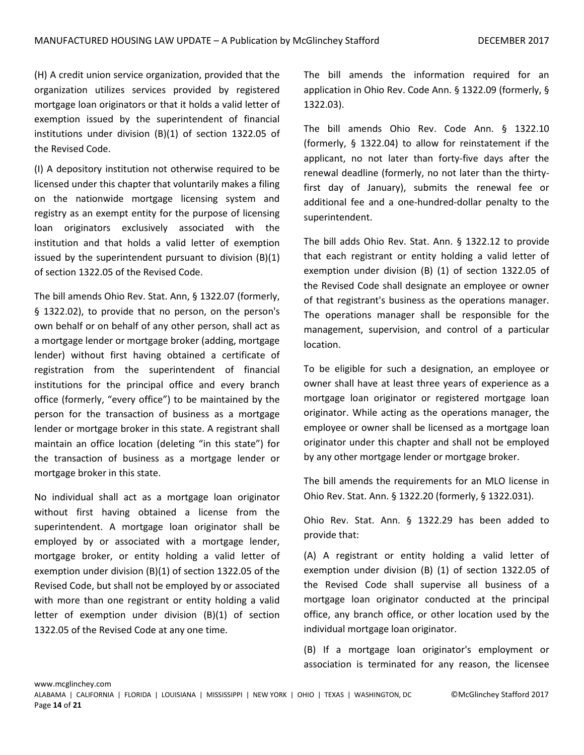(H) A credit union service organization, provided that the organization utilizes services provided by registered mortgage loan originators or that it holds a valid letter of exemption issued by the superintendent of financial institutions under division (B)(1) of section 1322.05 of the Revised Code.

(I) A depository institution not otherwise required to be licensed under this chapter that voluntarily makes a filing on the nationwide mortgage licensing system and registry as an exempt entity for the purpose of licensing loan originators exclusively associated with the institution and that holds a valid letter of exemption issued by the superintendent pursuant to division (B)(1) of section 1322.05 of the Revised Code.

The bill amends Ohio Rev. Stat. Ann, § 1322.07 (formerly, § 1322.02), to provide that no person, on the person's own behalf or on behalf of any other person, shall act as a mortgage lender or mortgage broker (adding, mortgage lender) without first having obtained a certificate of registration from the superintendent of financial institutions for the principal office and every branch office (formerly, "every office") to be maintained by the person for the transaction of business as a mortgage lender or mortgage broker in this state. A registrant shall maintain an office location (deleting "in this state") for the transaction of business as a mortgage lender or mortgage broker in this state.

No individual shall act as a mortgage loan originator without first having obtained a license from the superintendent. A mortgage loan originator shall be employed by or associated with a mortgage lender, mortgage broker, or entity holding a valid letter of exemption under division (B)(1) of section 1322.05 of the Revised Code, but shall not be employed by or associated with more than one registrant or entity holding a valid letter of exemption under division (B)(1) of section 1322.05 of the Revised Code at any one time.

The bill amends the information required for an application in Ohio Rev. Code Ann. § 1322.09 (formerly, § 1322.03).

The bill amends Ohio Rev. Code Ann. § 1322.10 (formerly, § 1322.04) to allow for reinstatement if the applicant, no not later than forty-five days after the renewal deadline (formerly, no not later than the thirtyfirst day of January), submits the renewal fee or additional fee and a one-hundred-dollar penalty to the superintendent.

The bill adds Ohio Rev. Stat. Ann. § 1322.12 to provide that each registrant or entity holding a valid letter of exemption under division (B) (1) of section 1322.05 of the Revised Code shall designate an employee or owner of that registrant's business as the operations manager. The operations manager shall be responsible for the management, supervision, and control of a particular location.

To be eligible for such a designation, an employee or owner shall have at least three years of experience as a mortgage loan originator or registered mortgage loan originator. While acting as the operations manager, the employee or owner shall be licensed as a mortgage loan originator under this chapter and shall not be employed by any other mortgage lender or mortgage broker.

The bill amends the requirements for an MLO license in Ohio Rev. Stat. Ann. § 1322.20 (formerly, § 1322.031).

Ohio Rev. Stat. Ann. § 1322.29 has been added to provide that:

(A) A registrant or entity holding a valid letter of exemption under division (B) (1) of section 1322.05 of the Revised Code shall supervise all business of a mortgage loan originator conducted at the principal office, any branch office, or other location used by the individual mortgage loan originator.

(B) If a mortgage loan originator's employment or association is terminated for any reason, the licensee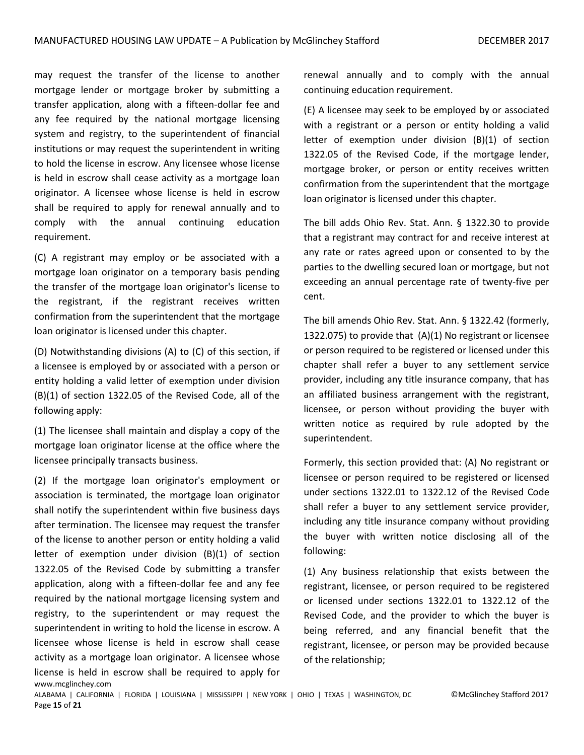may request the transfer of the license to another mortgage lender or mortgage broker by submitting a transfer application, along with a fifteen-dollar fee and any fee required by the national mortgage licensing system and registry, to the superintendent of financial institutions or may request the superintendent in writing to hold the license in escrow. Any licensee whose license is held in escrow shall cease activity as a mortgage loan originator. A licensee whose license is held in escrow shall be required to apply for renewal annually and to comply with the annual continuing education requirement.

(C) A registrant may employ or be associated with a mortgage loan originator on a temporary basis pending the transfer of the mortgage loan originator's license to the registrant, if the registrant receives written confirmation from the superintendent that the mortgage loan originator is licensed under this chapter.

(D) Notwithstanding divisions (A) to (C) of this section, if a licensee is employed by or associated with a person or entity holding a valid letter of exemption under division (B)(1) of section 1322.05 of the Revised Code, all of the following apply:

(1) The licensee shall maintain and display a copy of the mortgage loan originator license at the office where the licensee principally transacts business.

www.mcglinchey.com (2) If the mortgage loan originator's employment or association is terminated, the mortgage loan originator shall notify the superintendent within five business days after termination. The licensee may request the transfer of the license to another person or entity holding a valid letter of exemption under division (B)(1) of section 1322.05 of the Revised Code by submitting a transfer application, along with a fifteen-dollar fee and any fee required by the national mortgage licensing system and registry, to the superintendent or may request the superintendent in writing to hold the license in escrow. A licensee whose license is held in escrow shall cease activity as a mortgage loan originator. A licensee whose license is held in escrow shall be required to apply for renewal annually and to comply with the annual continuing education requirement.

(E) A licensee may seek to be employed by or associated with a registrant or a person or entity holding a valid letter of exemption under division (B)(1) of section 1322.05 of the Revised Code, if the mortgage lender, mortgage broker, or person or entity receives written confirmation from the superintendent that the mortgage loan originator is licensed under this chapter.

The bill adds Ohio Rev. Stat. Ann. § 1322.30 to provide that a registrant may contract for and receive interest at any rate or rates agreed upon or consented to by the parties to the dwelling secured loan or mortgage, but not exceeding an annual percentage rate of twenty-five per cent.

The bill amends Ohio Rev. Stat. Ann. § 1322.42 (formerly, 1322.075) to provide that (A)(1) No registrant or licensee or person required to be registered or licensed under this chapter shall refer a buyer to any settlement service provider, including any title insurance company, that has an affiliated business arrangement with the registrant, licensee, or person without providing the buyer with written notice as required by rule adopted by the superintendent.

Formerly, this section provided that: (A) No registrant or licensee or person required to be registered or licensed under sections 1322.01 to 1322.12 of the Revised Code shall refer a buyer to any settlement service provider, including any title insurance company without providing the buyer with written notice disclosing all of the following:

(1) Any business relationship that exists between the registrant, licensee, or person required to be registered or licensed under sections 1322.01 to 1322.12 of the Revised Code, and the provider to which the buyer is being referred, and any financial benefit that the registrant, licensee, or person may be provided because of the relationship;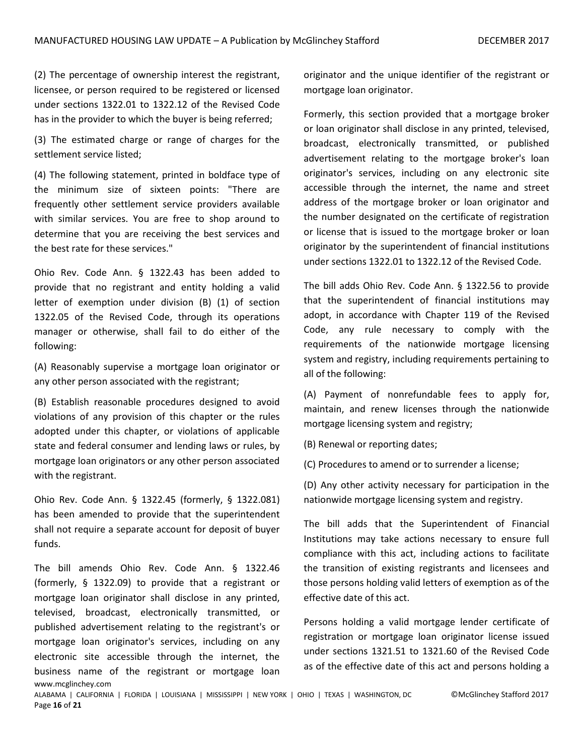(2) The percentage of ownership interest the registrant, licensee, or person required to be registered or licensed under sections 1322.01 to 1322.12 of the Revised Code has in the provider to which the buyer is being referred;

(3) The estimated charge or range of charges for the settlement service listed;

(4) The following statement, printed in boldface type of the minimum size of sixteen points: "There are frequently other settlement service providers available with similar services. You are free to shop around to determine that you are receiving the best services and the best rate for these services."

Ohio Rev. Code Ann. § 1322.43 has been added to provide that no registrant and entity holding a valid letter of exemption under division (B) (1) of section 1322.05 of the Revised Code, through its operations manager or otherwise, shall fail to do either of the following:

(A) Reasonably supervise a mortgage loan originator or any other person associated with the registrant;

(B) Establish reasonable procedures designed to avoid violations of any provision of this chapter or the rules adopted under this chapter, or violations of applicable state and federal consumer and lending laws or rules, by mortgage loan originators or any other person associated with the registrant.

Ohio Rev. Code Ann. § 1322.45 (formerly, § 1322.081) has been amended to provide that the superintendent shall not require a separate account for deposit of buyer funds.

www.mcglinchey.com The bill amends Ohio Rev. Code Ann. § 1322.46 (formerly, § 1322.09) to provide that a registrant or mortgage loan originator shall disclose in any printed, televised, broadcast, electronically transmitted, or published advertisement relating to the registrant's or mortgage loan originator's services, including on any electronic site accessible through the internet, the business name of the registrant or mortgage loan originator and the unique identifier of the registrant or mortgage loan originator.

Formerly, this section provided that a mortgage broker or loan originator shall disclose in any printed, televised, broadcast, electronically transmitted, or published advertisement relating to the mortgage broker's loan originator's services, including on any electronic site accessible through the internet, the name and street address of the mortgage broker or loan originator and the number designated on the certificate of registration or license that is issued to the mortgage broker or loan originator by the superintendent of financial institutions under sections 1322.01 to 1322.12 of the Revised Code.

The bill adds Ohio Rev. Code Ann. § 1322.56 to provide that the superintendent of financial institutions may adopt, in accordance with Chapter 119 of the Revised Code, any rule necessary to comply with the requirements of the nationwide mortgage licensing system and registry, including requirements pertaining to all of the following:

(A) Payment of nonrefundable fees to apply for, maintain, and renew licenses through the nationwide mortgage licensing system and registry;

(B) Renewal or reporting dates;

(C) Procedures to amend or to surrender a license;

(D) Any other activity necessary for participation in the nationwide mortgage licensing system and registry.

The bill adds that the Superintendent of Financial Institutions may take actions necessary to ensure full compliance with this act, including actions to facilitate the transition of existing registrants and licensees and those persons holding valid letters of exemption as of the effective date of this act.

Persons holding a valid mortgage lender certificate of registration or mortgage loan originator license issued under sections 1321.51 to 1321.60 of the Revised Code as of the effective date of this act and persons holding a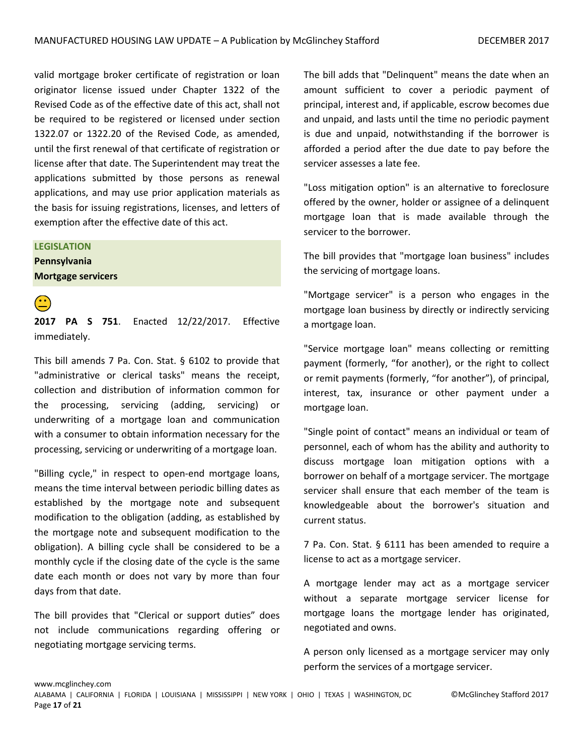valid mortgage broker certificate of registration or loan originator license issued under Chapter 1322 of the Revised Code as of the effective date of this act, shall not be required to be registered or licensed under section 1322.07 or 1322.20 of the Revised Code, as amended, until the first renewal of that certificate of registration or license after that date. The Superintendent may treat the applications submitted by those persons as renewal applications, and may use prior application materials as the basis for issuing registrations, licenses, and letters of exemption after the effective date of this act.

#### **LEGISLATION**

**Pennsylvania Mortgage servicers**

 **2017 PA S 751**. Enacted 12/22/2017. Effective immediately.

This bill amends 7 Pa. Con. Stat. § 6102 to provide that "administrative or clerical tasks" means the receipt, collection and distribution of information common for the processing, servicing (adding, servicing) or underwriting of a mortgage loan and communication with a consumer to obtain information necessary for the processing, servicing or underwriting of a mortgage loan.

"Billing cycle," in respect to open-end mortgage loans, means the time interval between periodic billing dates as established by the mortgage note and subsequent modification to the obligation (adding, as established by the mortgage note and subsequent modification to the obligation). A billing cycle shall be considered to be a monthly cycle if the closing date of the cycle is the same date each month or does not vary by more than four days from that date.

The bill provides that "Clerical or support duties" does not include communications regarding offering or negotiating mortgage servicing terms.

The bill adds that "Delinquent" means the date when an amount sufficient to cover a periodic payment of principal, interest and, if applicable, escrow becomes due and unpaid, and lasts until the time no periodic payment is due and unpaid, notwithstanding if the borrower is afforded a period after the due date to pay before the servicer assesses a late fee.

"Loss mitigation option" is an alternative to foreclosure offered by the owner, holder or assignee of a delinquent mortgage loan that is made available through the servicer to the borrower.

The bill provides that "mortgage loan business" includes the servicing of mortgage loans.

"Mortgage servicer" is a person who engages in the mortgage loan business by directly or indirectly servicing a mortgage loan.

"Service mortgage loan" means collecting or remitting payment (formerly, "for another), or the right to collect or remit payments (formerly, "for another"), of principal, interest, tax, insurance or other payment under a mortgage loan.

"Single point of contact" means an individual or team of personnel, each of whom has the ability and authority to discuss mortgage loan mitigation options with a borrower on behalf of a mortgage servicer. The mortgage servicer shall ensure that each member of the team is knowledgeable about the borrower's situation and current status.

7 Pa. Con. Stat. § 6111 has been amended to require a license to act as a mortgage servicer.

A mortgage lender may act as a mortgage servicer without a separate mortgage servicer license for mortgage loans the mortgage lender has originated, negotiated and owns.

A person only licensed as a mortgage servicer may only perform the services of a mortgage servicer.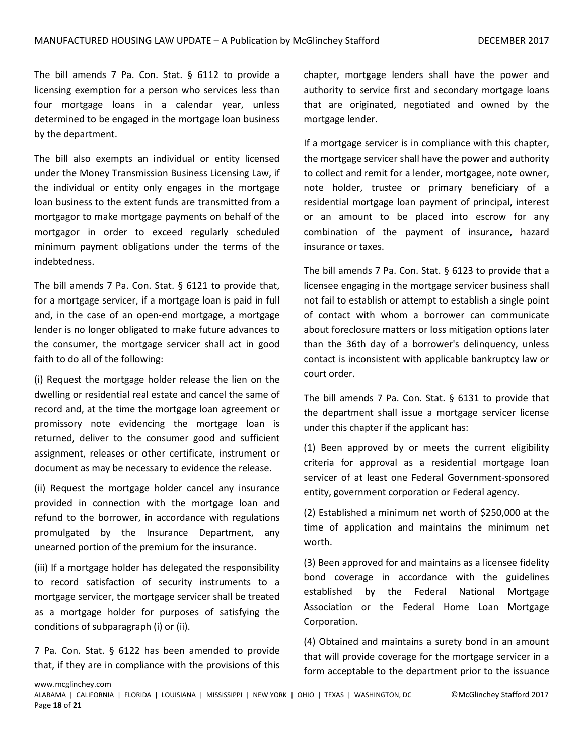The bill amends 7 Pa. Con. Stat. § 6112 to provide a licensing exemption for a person who services less than four mortgage loans in a calendar year, unless determined to be engaged in the mortgage loan business by the department.

The bill also exempts an individual or entity licensed under the Money Transmission Business Licensing Law, if the individual or entity only engages in the mortgage loan business to the extent funds are transmitted from a mortgagor to make mortgage payments on behalf of the mortgagor in order to exceed regularly scheduled minimum payment obligations under the terms of the indebtedness.

The bill amends 7 Pa. Con. Stat. § 6121 to provide that, for a mortgage servicer, if a mortgage loan is paid in full and, in the case of an open-end mortgage, a mortgage lender is no longer obligated to make future advances to the consumer, the mortgage servicer shall act in good faith to do all of the following:

(i) Request the mortgage holder release the lien on the dwelling or residential real estate and cancel the same of record and, at the time the mortgage loan agreement or promissory note evidencing the mortgage loan is returned, deliver to the consumer good and sufficient assignment, releases or other certificate, instrument or document as may be necessary to evidence the release.

(ii) Request the mortgage holder cancel any insurance provided in connection with the mortgage loan and refund to the borrower, in accordance with regulations promulgated by the Insurance Department, any unearned portion of the premium for the insurance.

(iii) If a mortgage holder has delegated the responsibility to record satisfaction of security instruments to a mortgage servicer, the mortgage servicer shall be treated as a mortgage holder for purposes of satisfying the conditions of subparagraph (i) or (ii).

7 Pa. Con. Stat. § 6122 has been amended to provide that, if they are in compliance with the provisions of this chapter, mortgage lenders shall have the power and authority to service first and secondary mortgage loans that are originated, negotiated and owned by the mortgage lender.

If a mortgage servicer is in compliance with this chapter, the mortgage servicer shall have the power and authority to collect and remit for a lender, mortgagee, note owner, note holder, trustee or primary beneficiary of a residential mortgage loan payment of principal, interest or an amount to be placed into escrow for any combination of the payment of insurance, hazard insurance or taxes.

The bill amends 7 Pa. Con. Stat. § 6123 to provide that a licensee engaging in the mortgage servicer business shall not fail to establish or attempt to establish a single point of contact with whom a borrower can communicate about foreclosure matters or loss mitigation options later than the 36th day of a borrower's delinquency, unless contact is inconsistent with applicable bankruptcy law or court order.

The bill amends 7 Pa. Con. Stat. § 6131 to provide that the department shall issue a mortgage servicer license under this chapter if the applicant has:

(1) Been approved by or meets the current eligibility criteria for approval as a residential mortgage loan servicer of at least one Federal Government-sponsored entity, government corporation or Federal agency.

(2) Established a minimum net worth of \$250,000 at the time of application and maintains the minimum net worth.

(3) Been approved for and maintains as a licensee fidelity bond coverage in accordance with the guidelines established by the Federal National Mortgage Association or the Federal Home Loan Mortgage Corporation.

(4) Obtained and maintains a surety bond in an amount that will provide coverage for the mortgage servicer in a form acceptable to the department prior to the issuance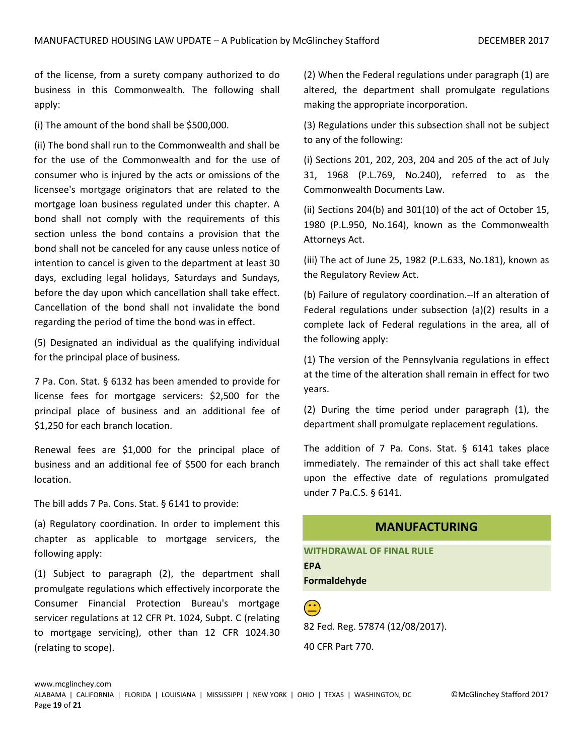of the license, from a surety company authorized to do business in this Commonwealth. The following shall apply:

(i) The amount of the bond shall be \$500,000.

(ii) The bond shall run to the Commonwealth and shall be for the use of the Commonwealth and for the use of consumer who is injured by the acts or omissions of the licensee's mortgage originators that are related to the mortgage loan business regulated under this chapter. A bond shall not comply with the requirements of this section unless the bond contains a provision that the bond shall not be canceled for any cause unless notice of intention to cancel is given to the department at least 30 days, excluding legal holidays, Saturdays and Sundays, before the day upon which cancellation shall take effect. Cancellation of the bond shall not invalidate the bond regarding the period of time the bond was in effect.

(5) Designated an individual as the qualifying individual for the principal place of business.

7 Pa. Con. Stat. § 6132 has been amended to provide for license fees for mortgage servicers: \$2,500 for the principal place of business and an additional fee of \$1,250 for each branch location.

Renewal fees are \$1,000 for the principal place of business and an additional fee of \$500 for each branch location.

The bill adds 7 Pa. Cons. Stat. § 6141 to provide:

(a) Regulatory coordination. In order to implement this chapter as applicable to mortgage servicers, the following apply:

(1) Subject to paragraph (2), the department shall promulgate regulations which effectively incorporate the Consumer Financial Protection Bureau's mortgage servicer regulations at 12 CFR Pt. 1024, Subpt. C (relating to mortgage servicing), other than 12 CFR 1024.30 (relating to scope).

(2) When the Federal regulations under paragraph (1) are altered, the department shall promulgate regulations making the appropriate incorporation.

(3) Regulations under this subsection shall not be subject to any of the following:

(i) Sections 201, 202, 203, 204 and 205 of the act of July 31, 1968 (P.L.769, No.240), referred to as the Commonwealth Documents Law.

(ii) Sections 204(b) and 301(10) of the act of October 15, 1980 (P.L.950, No.164), known as the Commonwealth Attorneys Act.

(iii) The act of June 25, 1982 (P.L.633, No.181), known as the Regulatory Review Act.

(b) Failure of regulatory coordination.--If an alteration of Federal regulations under subsection (a)(2) results in a complete lack of Federal regulations in the area, all of the following apply:

(1) The version of the Pennsylvania regulations in effect at the time of the alteration shall remain in effect for two years.

(2) During the time period under paragraph (1), the department shall promulgate replacement regulations.

The addition of 7 Pa. Cons. Stat. § 6141 takes place immediately. The remainder of this act shall take effect upon the effective date of regulations promulgated under 7 Pa.C.S. § 6141.

## **MANUFACTURING**

**WITHDRAWAL OF FINAL RULE EPA**

**Formaldehyde** 



82 Fed. Reg. 57874 (12/08/2017).

40 CFR Part 770.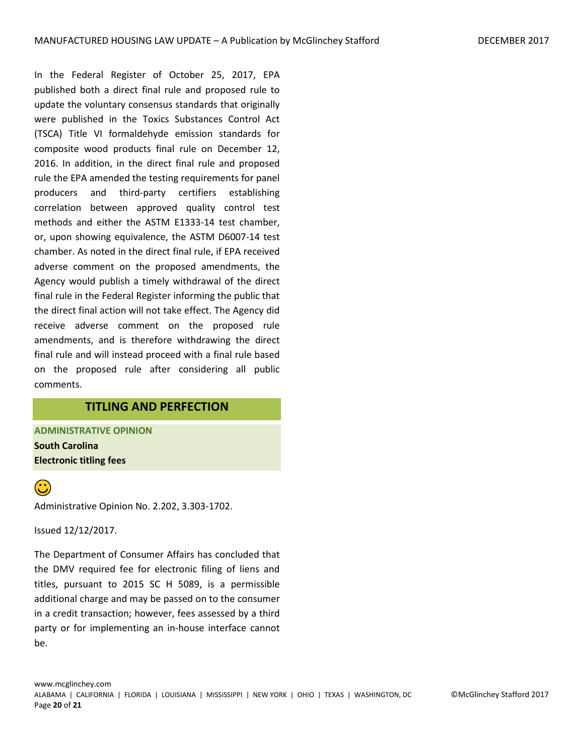In the Federal Register of October 25, 2017, EPA published both a direct final rule and proposed rule to update the voluntary consensus standards that originally were published in the Toxics Substances Control Act (TSCA) Title VI formaldehyde emission standards for composite wood products final rule on December 12, 2016. In addition, in the direct final rule and proposed rule the EPA amended the testing requirements for panel producers and third-party certifiers establishing correlation between approved quality control test methods and either the ASTM E1333-14 test chamber, or, upon showing equivalence, the ASTM D6007-14 test chamber. As noted in the direct final rule, if EPA received adverse comment on the proposed amendments, the Agency would publish a timely withdrawal of the direct final rule in the Federal Register informing the public that the direct final action will not take effect. The Agency did receive adverse comment on the proposed rule amendments, and is therefore withdrawing the direct final rule and will instead proceed with a final rule based on the proposed rule after considering all public comments.

### **TITLING AND PERFECTION**

**ADMINISTRATIVE OPINION South Carolina Electronic titling fees**



Administrative Opinion No. 2.202, 3.303-1702.

Issued 12/12/2017.

The Department of Consumer Affairs has concluded that the DMV required fee for electronic filing of liens and titles, pursuant to 2015 SC H 5089, is a permissible additional charge and may be passed on to the consumer in a credit transaction; however, fees assessed by a third party or for implementing an in-house interface cannot be.